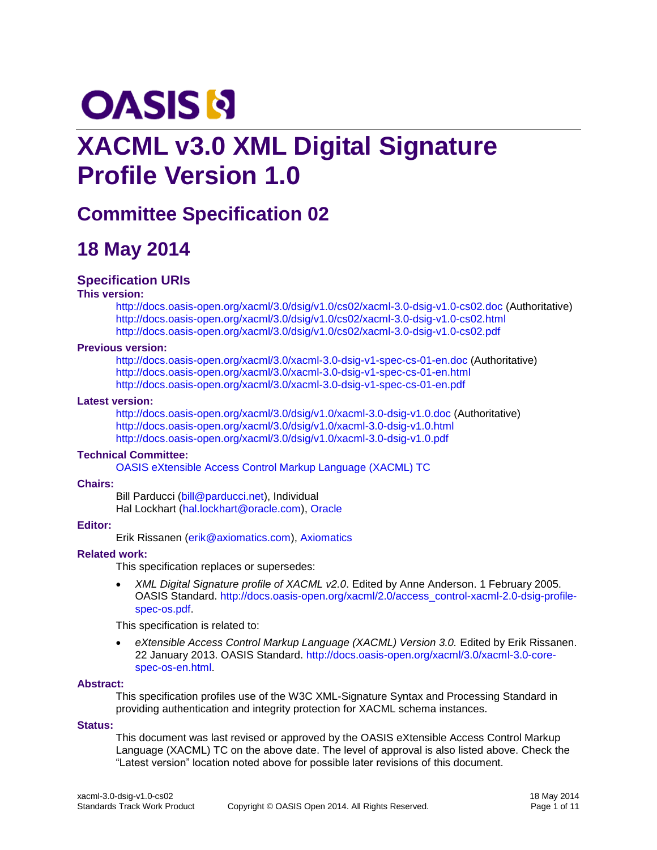# **OASIS N**

# **XACML v3.0 XML Digital Signature Profile Version 1.0**

# **Committee Specification 02**

# **18 May 2014**

## **Specification URIs**

#### **This version:**

<http://docs.oasis-open.org/xacml/3.0/dsig/v1.0/cs02/xacml-3.0-dsig-v1.0-cs02.doc> (Authoritative) <http://docs.oasis-open.org/xacml/3.0/dsig/v1.0/cs02/xacml-3.0-dsig-v1.0-cs02.html> <http://docs.oasis-open.org/xacml/3.0/dsig/v1.0/cs02/xacml-3.0-dsig-v1.0-cs02.pdf>

#### **Previous version:**

<http://docs.oasis-open.org/xacml/3.0/xacml-3.0-dsig-v1-spec-cs-01-en.doc> (Authoritative) <http://docs.oasis-open.org/xacml/3.0/xacml-3.0-dsig-v1-spec-cs-01-en.html> <http://docs.oasis-open.org/xacml/3.0/xacml-3.0-dsig-v1-spec-cs-01-en.pdf>

#### **Latest version:**

<http://docs.oasis-open.org/xacml/3.0/dsig/v1.0/xacml-3.0-dsig-v1.0.doc> (Authoritative) <http://docs.oasis-open.org/xacml/3.0/dsig/v1.0/xacml-3.0-dsig-v1.0.html> <http://docs.oasis-open.org/xacml/3.0/dsig/v1.0/xacml-3.0-dsig-v1.0.pdf>

#### **Technical Committee:**

[OASIS eXtensible Access Control Markup Language \(XACML\) TC](https://www.oasis-open.org/committees/xacml/)

#### **Chairs:**

Bill Parducci [\(bill@parducci.net\)](mailto:bill@parducci.net), Individual Hal Lockhart [\(hal.lockhart@oracle.com\)](mailto:hal.lockhart@oracle.com), [Oracle](http://www.oracle.com/)

### **Editor:**

Erik Rissanen [\(erik@axiomatics.com\)](mailto:erik@axiomatics.com), [Axiomatics](http://www.axiomatics.com/)

#### **Related work:**

This specification replaces or supersedes:

 *XML Digital Signature profile of XACML v2.0*. Edited by Anne Anderson. 1 February 2005. OASIS Standard. [http://docs.oasis-open.org/xacml/2.0/access\\_control-xacml-2.0-dsig-profile](http://docs.oasis-open.org/xacml/2.0/access_control-xacml-2.0-dsig-profile-spec-os.pdf)[spec-os.pdf.](http://docs.oasis-open.org/xacml/2.0/access_control-xacml-2.0-dsig-profile-spec-os.pdf)

This specification is related to:

 *eXtensible Access Control Markup Language (XACML) Version 3.0.* Edited by Erik Rissanen. 22 January 2013. OASIS Standard. [http://docs.oasis-open.org/xacml/3.0/xacml-3.0-core](http://docs.oasis-open.org/xacml/3.0/xacml-3.0-core-spec-os-en.html)[spec-os-en.html.](http://docs.oasis-open.org/xacml/3.0/xacml-3.0-core-spec-os-en.html)

#### **Abstract:**

This specification profiles use of the W3C XML-Signature Syntax and Processing Standard in providing authentication and integrity protection for XACML schema instances.

#### **Status:**

This document was last revised or approved by the OASIS eXtensible Access Control Markup Language (XACML) TC on the above date. The level of approval is also listed above. Check the "Latest version" location noted above for possible later revisions of this document.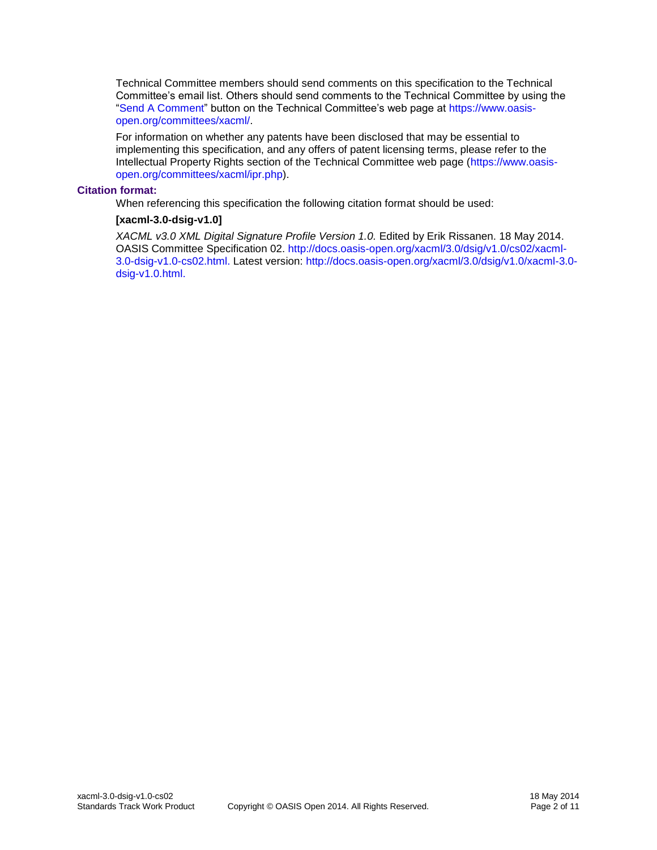Technical Committee members should send comments on this specification to the Technical Committee's email list. Others should send comments to the Technical Committee by using the ["Send A Comment"](https://www.oasis-open.org/committees/comments/index.php?wg_abbrev=xacml) button on the Technical Committee's web page at [https://www.oasis](https://www.oasis-open.org/committees/xacml/)[open.org/committees/xacml/.](https://www.oasis-open.org/committees/xacml/)

For information on whether any patents have been disclosed that may be essential to implementing this specification, and any offers of patent licensing terms, please refer to the Intellectual Property Rights section of the Technical Committee web page [\(https://www.oasis](https://www.oasis-open.org/committees/xacml/ipr.php)[open.org/committees/xacml/ipr.php\)](https://www.oasis-open.org/committees/xacml/ipr.php).

#### **Citation format:**

When referencing this specification the following citation format should be used:

#### **[xacml-3.0-dsig-v1.0]**

*XACML v3.0 XML Digital Signature Profile Version 1.0.* Edited by Erik Rissanen. 18 May 2014. OASIS Committee Specification 02. [http://docs.oasis-open.org/xacml/3.0/dsig/v1.0/cs02/xacml-](http://docs.oasis-open.org/xacml/3.0/dsig/v1.0/cs02/xacml-3.0-dsig-v1.0-cs02.html)[3.0-dsig-v1.0-cs02.html.](http://docs.oasis-open.org/xacml/3.0/dsig/v1.0/cs02/xacml-3.0-dsig-v1.0-cs02.html) Latest version: [http://docs.oasis-open.org/xacml/3.0/dsig/v1.0/xacml-3.0](http://docs.oasis-open.org/xacml/3.0/dsig/v1.0/xacml-3.0-dsig-v1.0.html) [dsig-v1.0.html.](http://docs.oasis-open.org/xacml/3.0/dsig/v1.0/xacml-3.0-dsig-v1.0.html)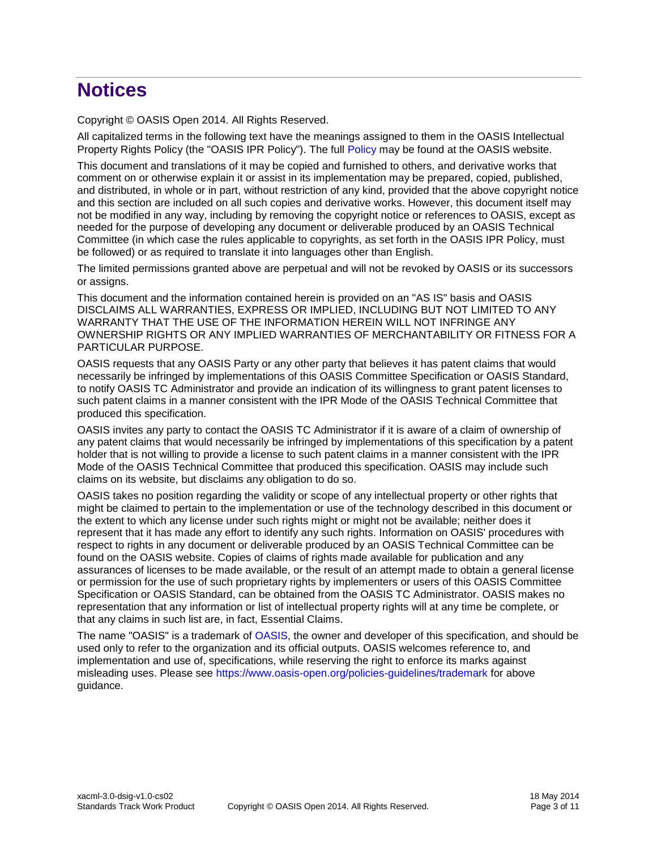# **Notices**

Copyright © OASIS Open 2014. All Rights Reserved.

All capitalized terms in the following text have the meanings assigned to them in the OASIS Intellectual Property Rights Policy (the "OASIS IPR Policy"). The full [Policy](https://www.oasis-open.org/policies-guidelines/ipr) may be found at the OASIS website.

This document and translations of it may be copied and furnished to others, and derivative works that comment on or otherwise explain it or assist in its implementation may be prepared, copied, published, and distributed, in whole or in part, without restriction of any kind, provided that the above copyright notice and this section are included on all such copies and derivative works. However, this document itself may not be modified in any way, including by removing the copyright notice or references to OASIS, except as needed for the purpose of developing any document or deliverable produced by an OASIS Technical Committee (in which case the rules applicable to copyrights, as set forth in the OASIS IPR Policy, must be followed) or as required to translate it into languages other than English.

The limited permissions granted above are perpetual and will not be revoked by OASIS or its successors or assigns.

This document and the information contained herein is provided on an "AS IS" basis and OASIS DISCLAIMS ALL WARRANTIES, EXPRESS OR IMPLIED, INCLUDING BUT NOT LIMITED TO ANY WARRANTY THAT THE USE OF THE INFORMATION HEREIN WILL NOT INFRINGE ANY OWNERSHIP RIGHTS OR ANY IMPLIED WARRANTIES OF MERCHANTABILITY OR FITNESS FOR A PARTICULAR PURPOSE.

OASIS requests that any OASIS Party or any other party that believes it has patent claims that would necessarily be infringed by implementations of this OASIS Committee Specification or OASIS Standard, to notify OASIS TC Administrator and provide an indication of its willingness to grant patent licenses to such patent claims in a manner consistent with the IPR Mode of the OASIS Technical Committee that produced this specification.

OASIS invites any party to contact the OASIS TC Administrator if it is aware of a claim of ownership of any patent claims that would necessarily be infringed by implementations of this specification by a patent holder that is not willing to provide a license to such patent claims in a manner consistent with the IPR Mode of the OASIS Technical Committee that produced this specification. OASIS may include such claims on its website, but disclaims any obligation to do so.

OASIS takes no position regarding the validity or scope of any intellectual property or other rights that might be claimed to pertain to the implementation or use of the technology described in this document or the extent to which any license under such rights might or might not be available; neither does it represent that it has made any effort to identify any such rights. Information on OASIS' procedures with respect to rights in any document or deliverable produced by an OASIS Technical Committee can be found on the OASIS website. Copies of claims of rights made available for publication and any assurances of licenses to be made available, or the result of an attempt made to obtain a general license or permission for the use of such proprietary rights by implementers or users of this OASIS Committee Specification or OASIS Standard, can be obtained from the OASIS TC Administrator. OASIS makes no representation that any information or list of intellectual property rights will at any time be complete, or that any claims in such list are, in fact, Essential Claims.

The name "OASIS" is a trademark of [OASIS,](https://www.oasis-open.org/) the owner and developer of this specification, and should be used only to refer to the organization and its official outputs. OASIS welcomes reference to, and implementation and use of, specifications, while reserving the right to enforce its marks against misleading uses. Please see<https://www.oasis-open.org/policies-guidelines/trademark> for above guidance.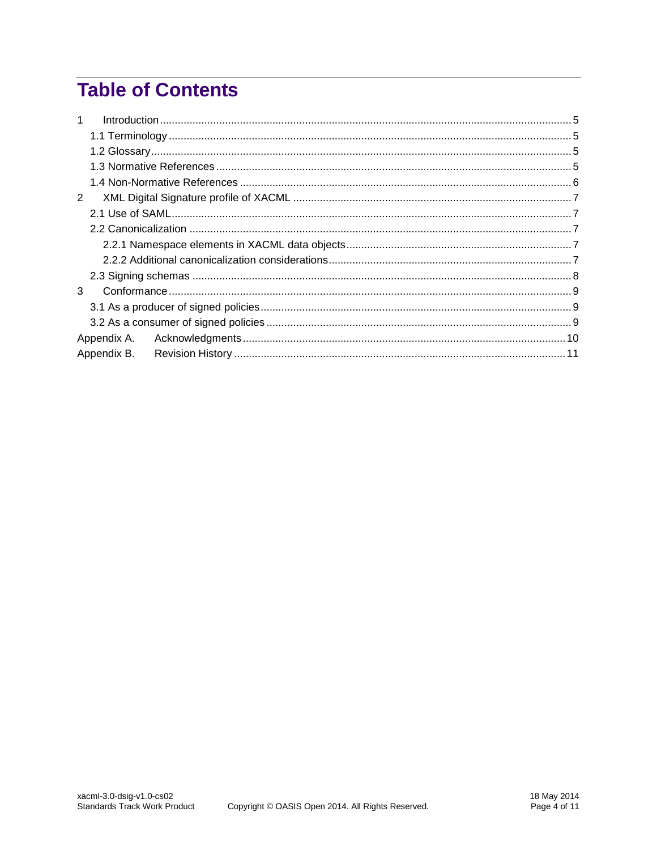# **Table of Contents**

| $\mathbf{1}$ |  |
|--------------|--|
|              |  |
|              |  |
|              |  |
|              |  |
| 2            |  |
|              |  |
|              |  |
|              |  |
|              |  |
|              |  |
| 3            |  |
|              |  |
|              |  |
|              |  |
|              |  |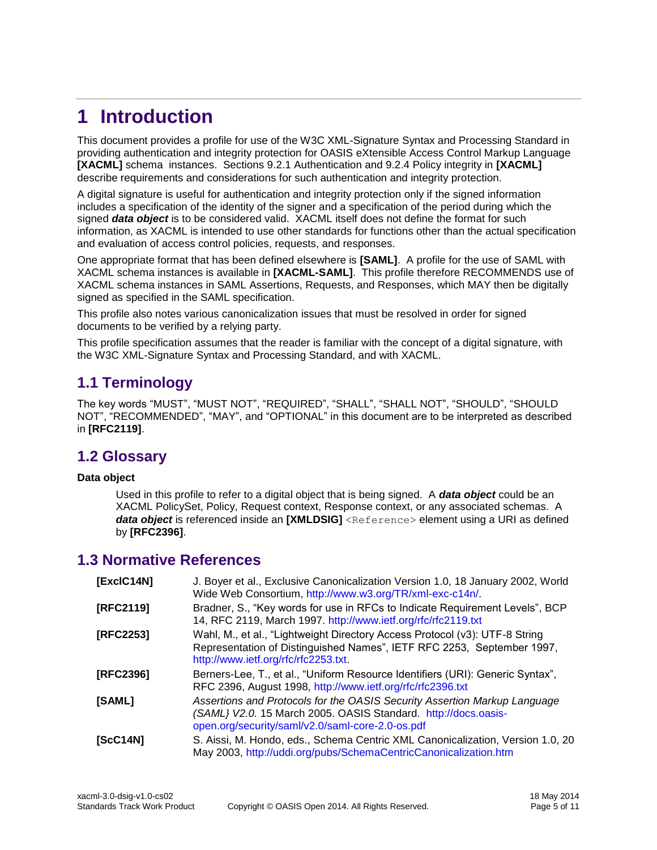# <span id="page-4-0"></span>**1 Introduction**

This document provides a profile for use of the W3C XML-Signature Syntax and Processing Standard in providing authentication and integrity protection for OASIS eXtensible Access Control Markup Language **[\[XACML\]](#page-5-1)** schema instances. Sections 9.2.1 Authentication and 9.2.4 Policy integrity in **[\[XACML\]](#page-5-1)** describe requirements and considerations for such authentication and integrity protection.

A digital signature is useful for authentication and integrity protection only if the signed information includes a specification of the identity of the signer and a specification of the period during which the signed *data object* is to be considered valid. XACML itself does not define the format for such information, as XACML is intended to use other standards for functions other than the actual specification and evaluation of access control policies, requests, and responses.

One appropriate format that has been defined elsewhere is **[\[SAML\]](#page-4-4)**. A profile for the use of SAML with XACML schema instances is available in **[\[XACML-SAML\]](#page-5-2)**. This profile therefore RECOMMENDS use of XACML schema instances in SAML Assertions, Requests, and Responses, which MAY then be digitally signed as specified in the SAML specification.

This profile also notes various canonicalization issues that must be resolved in order for signed documents to be verified by a relying party.

This profile specification assumes that the reader is familiar with the concept of a digital signature, with the W3C XML-Signature Syntax and Processing Standard, and with XACML.

# <span id="page-4-1"></span>**1.1 Terminology**

The key words "MUST", "MUST NOT", "REQUIRED", "SHALL", "SHALL NOT", "SHOULD", "SHOULD NOT", "RECOMMENDED", "MAY", and "OPTIONAL" in this document are to be interpreted as described in **[\[RFC2119\]](#page-4-5)**.

## <span id="page-4-2"></span>**1.2 Glossary**

#### **Data object**

Used in this profile to refer to a digital object that is being signed. A *data object* could be an XACML PolicySet, Policy, Request context, Response context, or any associated schemas. A **data object** is referenced inside an [\[XMLDSIG\]](#page-5-3) <Reference> element using a URI as defined by **[\[RFC2396\]](#page-4-6)**.

## <span id="page-4-3"></span>**1.3 Normative References**

<span id="page-4-9"></span><span id="page-4-8"></span><span id="page-4-7"></span><span id="page-4-6"></span><span id="page-4-5"></span><span id="page-4-4"></span>

| [ExclC14N] | J. Boyer et al., Exclusive Canonicalization Version 1.0, 18 January 2002, World<br>Wide Web Consortium, http://www.w3.org/TR/xml-exc-c14n/.                                                     |  |  |  |
|------------|-------------------------------------------------------------------------------------------------------------------------------------------------------------------------------------------------|--|--|--|
| [RFC2119]  | Bradner, S., "Key words for use in RFCs to Indicate Requirement Levels", BCP<br>14, RFC 2119, March 1997. http://www.ietf.org/rfc/rfc2119.txt                                                   |  |  |  |
| [RFC2253]  | Wahl, M., et al., "Lightweight Directory Access Protocol (v3): UTF-8 String<br>Representation of Distinguished Names", IETF RFC 2253, September 1997,<br>http://www.ietf.org/rfc/rfc2253.txt.   |  |  |  |
| [RFC2396]  | Berners-Lee, T., et al., "Uniform Resource Identifiers (URI): Generic Syntax",<br>RFC 2396, August 1998, http://www.ietf.org/rfc/rfc2396.txt                                                    |  |  |  |
| [SAML]     | Assertions and Protocols for the OASIS Security Assertion Markup Language<br>(SAML) V2.0. 15 March 2005. OASIS Standard. http://docs.oasis-<br>open.org/security/saml/v2.0/saml-core-2.0-os.pdf |  |  |  |
| [SC14N]    | S. Aissi, M. Hondo, eds., Schema Centric XML Canonicalization, Version 1.0, 20<br>May 2003, http://uddi.org/pubs/SchemaCentricCanonicalization.htm                                              |  |  |  |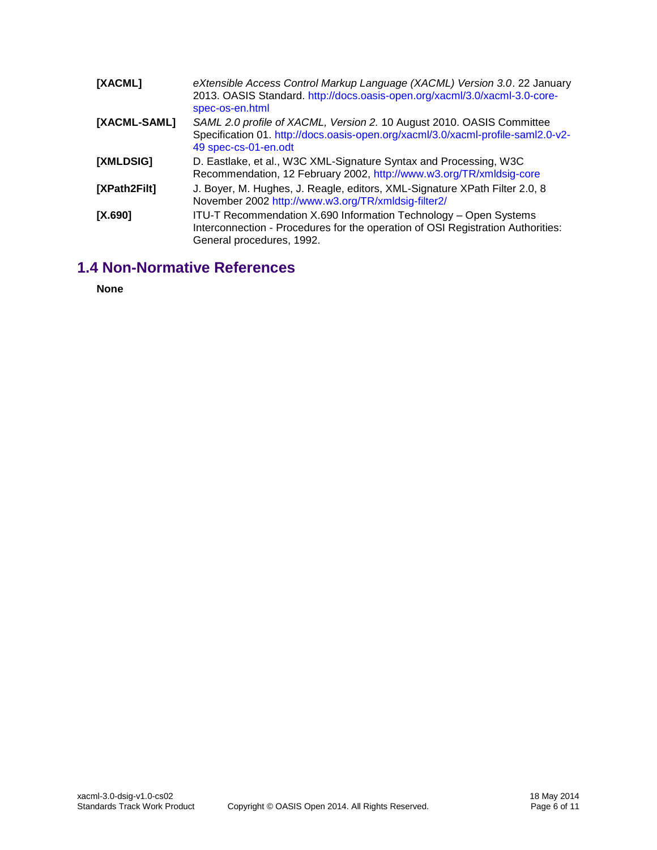<span id="page-5-3"></span><span id="page-5-2"></span><span id="page-5-1"></span>

| [XACML]      | eXtensible Access Control Markup Language (XACML) Version 3.0. 22 January<br>2013. OASIS Standard. http://docs.oasis-open.org/xacml/3.0/xacml-3.0-core-<br>spec-os-en.html        |  |  |  |
|--------------|-----------------------------------------------------------------------------------------------------------------------------------------------------------------------------------|--|--|--|
| [XACML-SAML] | SAML 2.0 profile of XACML, Version 2. 10 August 2010. OASIS Committee<br>Specification 01. http://docs.oasis-open.org/xacml/3.0/xacml-profile-saml2.0-v2-<br>49 spec-cs-01-en.odt |  |  |  |
| [XMLDSIG]    | D. Eastlake, et al., W3C XML-Signature Syntax and Processing, W3C<br>Recommendation, 12 February 2002, http://www.w3.org/TR/xmldsig-core                                          |  |  |  |
| [XPath2Filt] | J. Boyer, M. Hughes, J. Reagle, editors, XML-Signature XPath Filter 2.0, 8<br>November 2002 http://www.w3.org/TR/xmldsig-filter2/                                                 |  |  |  |
| $[X.690]$    | ITU-T Recommendation X.690 Information Technology - Open Systems<br>Interconnection - Procedures for the operation of OSI Registration Authorities:<br>General procedures, 1992.  |  |  |  |

# <span id="page-5-5"></span><span id="page-5-4"></span><span id="page-5-0"></span>**1.4 Non-Normative References**

**None**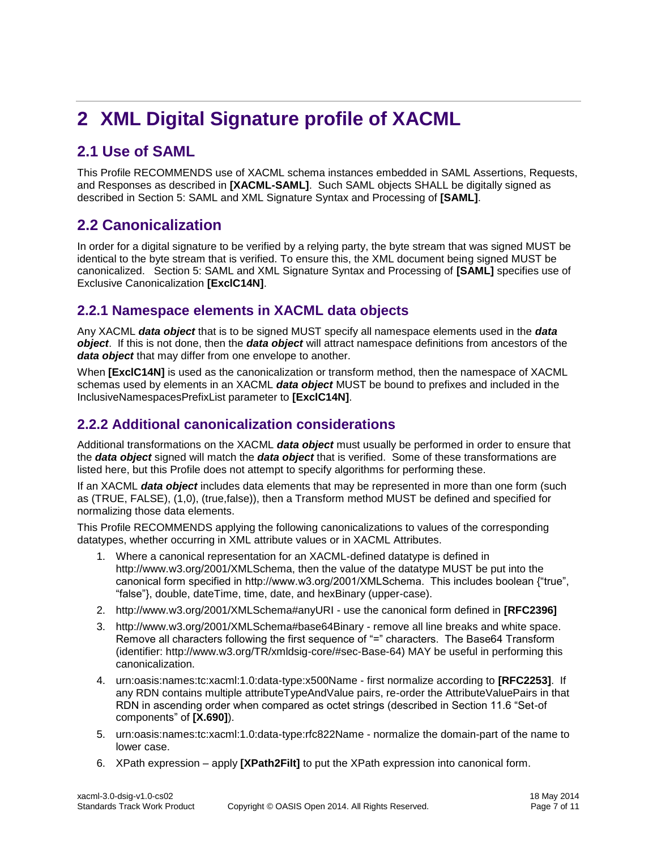# <span id="page-6-0"></span>**2 XML Digital Signature profile of XACML**

# <span id="page-6-1"></span>**2.1 Use of SAML**

This Profile RECOMMENDS use of XACML schema instances embedded in SAML Assertions, Requests, and Responses as described in **[\[XACML-SAML\]](#page-5-2)**. Such SAML objects SHALL be digitally signed as described in Section 5: SAML and XML Signature Syntax and Processing of **[\[SAML\]](#page-4-4)**.

## <span id="page-6-2"></span>**2.2 Canonicalization**

In order for a digital signature to be verified by a relying party, the byte stream that was signed MUST be identical to the byte stream that is verified. To ensure this, the XML document being signed MUST be canonicalized. Section 5: SAML and XML Signature Syntax and Processing of **[\[SAML\]](#page-4-4)** specifies use of Exclusive Canonicalization **[\[ExclC14N\]](#page-4-7)**.

## <span id="page-6-3"></span>**2.2.1 Namespace elements in XACML data objects**

Any XACML *data object* that is to be signed MUST specify all namespace elements used in the *data object*. If this is not done, then the *data object* will attract namespace definitions from ancestors of the *data object* that may differ from one envelope to another.

When **[\[ExclC14N\]](#page-4-7)** is used as the canonicalization or transform method, then the namespace of XACML schemas used by elements in an XACML *data object* MUST be bound to prefixes and included in the InclusiveNamespacesPrefixList parameter to **[\[ExclC14N\]](#page-4-7)**.

## <span id="page-6-4"></span>**2.2.2 Additional canonicalization considerations**

Additional transformations on the XACML *data object* must usually be performed in order to ensure that the *data object* signed will match the *data object* that is verified. Some of these transformations are listed here, but this Profile does not attempt to specify algorithms for performing these.

If an XACML *data object* includes data elements that may be represented in more than one form (such as (TRUE, FALSE), (1,0), (true,false)), then a Transform method MUST be defined and specified for normalizing those data elements.

This Profile RECOMMENDS applying the following canonicalizations to values of the corresponding datatypes, whether occurring in XML attribute values or in XACML Attributes.

- 1. Where a canonical representation for an XACML-defined datatype is defined in http://www.w3.org/2001/XMLSchema, then the value of the datatype MUST be put into the canonical form specified in http://www.w3.org/2001/XMLSchema. This includes boolean {"true", "false"}, double, dateTime, time, date, and hexBinary (upper-case).
- 2. http://www.w3.org/2001/XMLSchema#anyURI use the canonical form defined in **[\[RFC2396\]](#page-4-6)**
- 3. http://www.w3.org/2001/XMLSchema#base64Binary remove all line breaks and white space. Remove all characters following the first sequence of "=" characters. The Base64 Transform (identifier: http://www.w3.org/TR/xmldsig-core/#sec-Base-64) MAY be useful in performing this canonicalization.
- 4. urn:oasis:names:tc:xacml:1.0:data-type:x500Name first normalize according to **[\[RFC2253\]](#page-4-8)**. If any RDN contains multiple attributeTypeAndValue pairs, re-order the AttributeValuePairs in that RDN in ascending order when compared as octet strings (described in Section 11.6 "Set-of components" of **[\[X.690\]](#page-5-4)**).
- 5. urn:oasis:names:tc:xacml:1.0:data-type:rfc822Name normalize the domain-part of the name to lower case.
- 6. XPath expression apply **[\[XPath2Filt\]](#page-5-5)** to put the XPath expression into canonical form.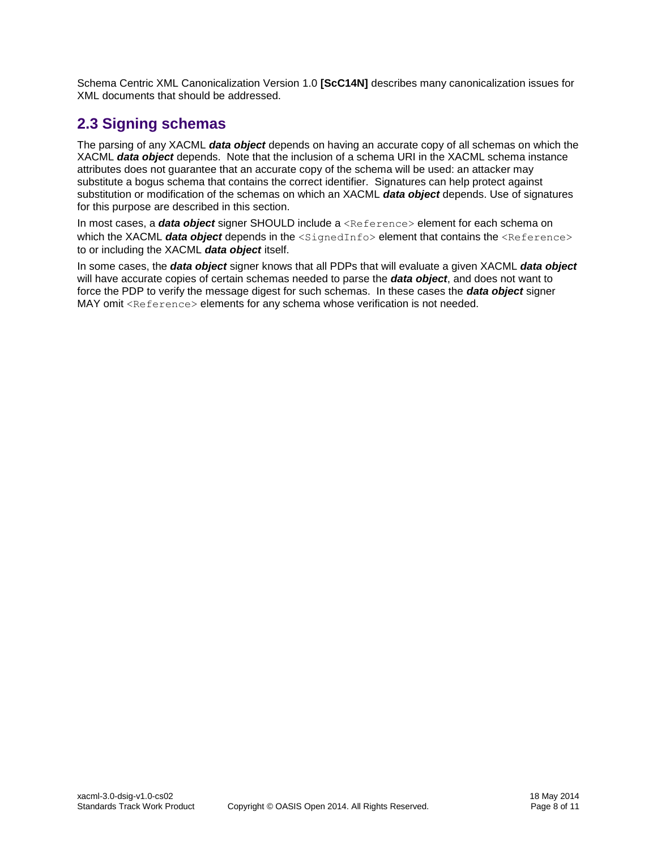Schema Centric XML Canonicalization Version 1.0 **[\[ScC14N\]](#page-4-9)** describes many canonicalization issues for XML documents that should be addressed.

## <span id="page-7-0"></span>**2.3 Signing schemas**

The parsing of any XACML *data object* depends on having an accurate copy of all schemas on which the XACML *data object* depends. Note that the inclusion of a schema URI in the XACML schema instance attributes does not guarantee that an accurate copy of the schema will be used: an attacker may substitute a bogus schema that contains the correct identifier. Signatures can help protect against substitution or modification of the schemas on which an XACML *data object* depends. Use of signatures for this purpose are described in this section.

In most cases, a *data object* signer SHOULD include a <Reference> element for each schema on which the XACML **data object** depends in the <SignedInfo> element that contains the <Reference> to or including the XACML *data object* itself.

In some cases, the *data object* signer knows that all PDPs that will evaluate a given XACML *data object* will have accurate copies of certain schemas needed to parse the *data object*, and does not want to force the PDP to verify the message digest for such schemas. In these cases the *data object* signer MAY omit <Reference> elements for any schema whose verification is not needed.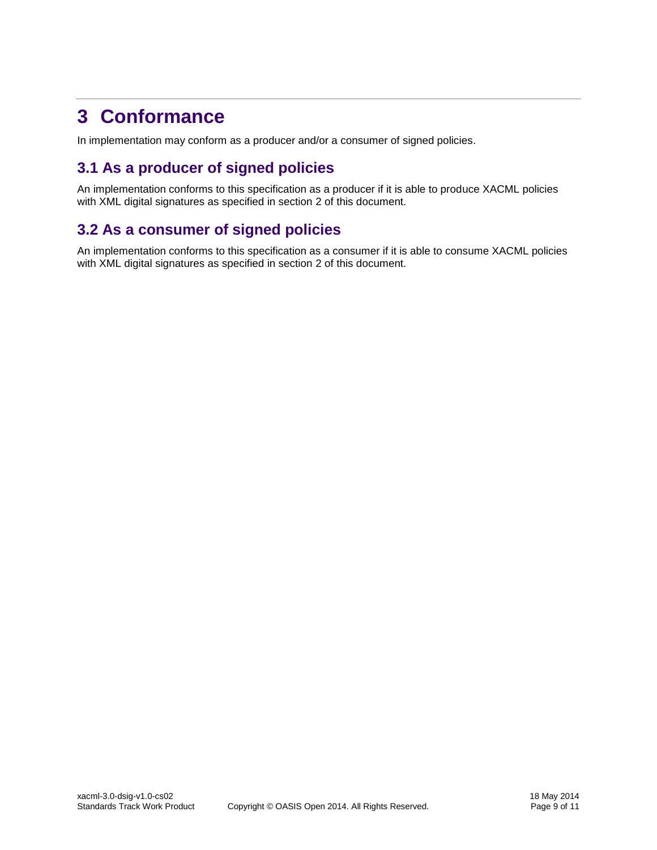# <span id="page-8-0"></span>**3 Conformance**

In implementation may conform as a producer and/or a consumer of signed policies.

# <span id="page-8-1"></span>**3.1 As a producer of signed policies**

An implementation conforms to this specification as a producer if it is able to produce XACML policies with XML digital signatures as specified in section [2](#page-6-0) of this document.

## <span id="page-8-2"></span>**3.2 As a consumer of signed policies**

An implementation conforms to this specification as a consumer if it is able to consume XACML policies with XML digital signatures as specified in section [2](#page-6-0) of this document.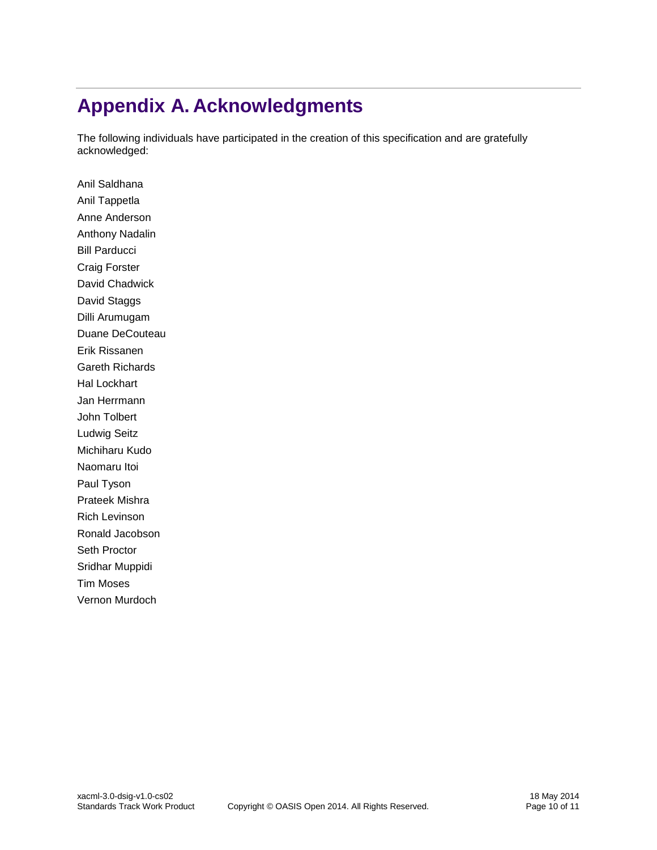# <span id="page-9-0"></span>**Appendix A. Acknowledgments**

The following individuals have participated in the creation of this specification and are gratefully acknowledged:

Anil Saldhana Anil Tappetla Anne Anderson Anthony Nadalin Bill Parducci Craig Forster David Chadwick David Staggs Dilli Arumugam Duane DeCouteau Erik Rissanen Gareth Richards Hal Lockhart Jan Herrmann John Tolbert Ludwig Seitz Michiharu Kudo Naomaru Itoi Paul Tyson Prateek Mishra Rich Levinson Ronald Jacobson Seth Proctor Sridhar Muppidi Tim Moses Vernon Murdoch